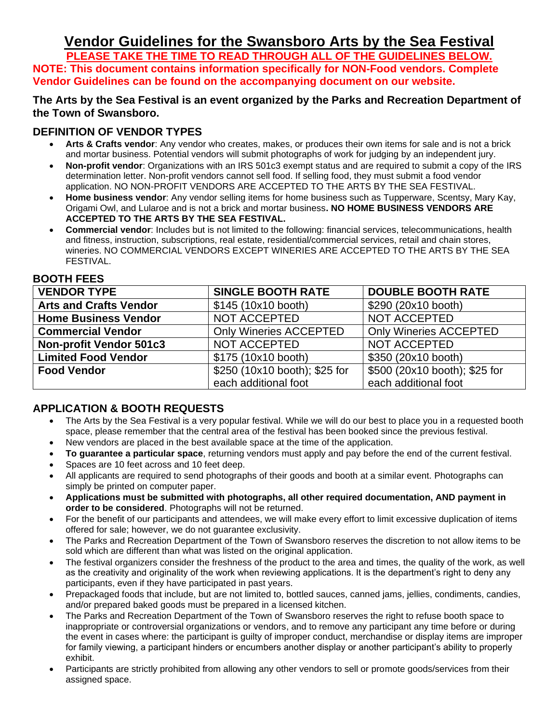# **Vendor Guidelines for the Swansboro Arts by the Sea Festival**

**PLEASE TAKE THE TIME TO READ THROUGH ALL OF THE GUIDELINES BELOW. NOTE: This document contains information specifically for NON-Food vendors. Complete Vendor Guidelines can be found on the accompanying document on our website.**

#### **The Arts by the Sea Festival is an event organized by the Parks and Recreation Department of the Town of Swansboro.**

### **DEFINITION OF VENDOR TYPES**

- **Arts & Crafts vendor**: Any vendor who creates, makes, or produces their own items for sale and is not a brick and mortar business. Potential vendors will submit photographs of work for judging by an independent jury.
- **Non-profit vendor**: Organizations with an IRS 501c3 exempt status and are required to submit a copy of the IRS determination letter. Non-profit vendors cannot sell food. If selling food, they must submit a food vendor application. NO NON-PROFIT VENDORS ARE ACCEPTED TO THE ARTS BY THE SEA FESTIVAL.
- **Home business vendor**: Any vendor selling items for home business such as Tupperware, Scentsy, Mary Kay, Origami Owl, and Lularoe and is not a brick and mortar business**. NO HOME BUSINESS VENDORS ARE ACCEPTED TO THE ARTS BY THE SEA FESTIVAL.**
- **Commercial vendor**: Includes but is not limited to the following: financial services, telecommunications, health and fitness, instruction, subscriptions, real estate, residential/commercial services, retail and chain stores, wineries. NO COMMERCIAL VENDORS EXCEPT WINERIES ARE ACCEPTED TO THE ARTS BY THE SEA FESTIVAL.

| <b>VENDOR TYPE</b>             | <b>SINGLE BOOTH RATE</b>      | <b>DOUBLE BOOTH RATE</b>      |
|--------------------------------|-------------------------------|-------------------------------|
| <b>Arts and Crafts Vendor</b>  | \$145 (10x10 booth)           | \$290 (20x10 booth)           |
| <b>Home Business Vendor</b>    | NOT ACCEPTED                  | NOT ACCEPTED                  |
| <b>Commercial Vendor</b>       | <b>Only Wineries ACCEPTED</b> | <b>Only Wineries ACCEPTED</b> |
| <b>Non-profit Vendor 501c3</b> | NOT ACCEPTED                  | <b>NOT ACCEPTED</b>           |
| <b>Limited Food Vendor</b>     | \$175 (10x10 booth)           | \$350 (20x10 booth)           |
| <b>Food Vendor</b>             | \$250 (10x10 booth); \$25 for | \$500 (20x10 booth); \$25 for |
|                                | each additional foot          | each additional foot          |

#### **BOOTH FEES**

## **APPLICATION & BOOTH REQUESTS**

- The Arts by the Sea Festival is a very popular festival. While we will do our best to place you in a requested booth space, please remember that the central area of the festival has been booked since the previous festival.
- New vendors are placed in the best available space at the time of the application.
- **To guarantee a particular space**, returning vendors must apply and pay before the end of the current festival.
- Spaces are 10 feet across and 10 feet deep.
- All applicants are required to send photographs of their goods and booth at a similar event. Photographs can simply be printed on computer paper.
- **Applications must be submitted with photographs, all other required documentation, AND payment in order to be considered**. Photographs will not be returned.
- For the benefit of our participants and attendees, we will make every effort to limit excessive duplication of items offered for sale; however, we do not guarantee exclusivity.
- The Parks and Recreation Department of the Town of Swansboro reserves the discretion to not allow items to be sold which are different than what was listed on the original application.
- The festival organizers consider the freshness of the product to the area and times, the quality of the work, as well as the creativity and originality of the work when reviewing applications. It is the department's right to deny any participants, even if they have participated in past years.
- Prepackaged foods that include, but are not limited to, bottled sauces, canned jams, jellies, condiments, candies, and/or prepared baked goods must be prepared in a licensed kitchen.
- The Parks and Recreation Department of the Town of Swansboro reserves the right to refuse booth space to inappropriate or controversial organizations or vendors, and to remove any participant any time before or during the event in cases where: the participant is guilty of improper conduct, merchandise or display items are improper for family viewing, a participant hinders or encumbers another display or another participant's ability to properly exhibit.
- Participants are strictly prohibited from allowing any other vendors to sell or promote goods/services from their assigned space.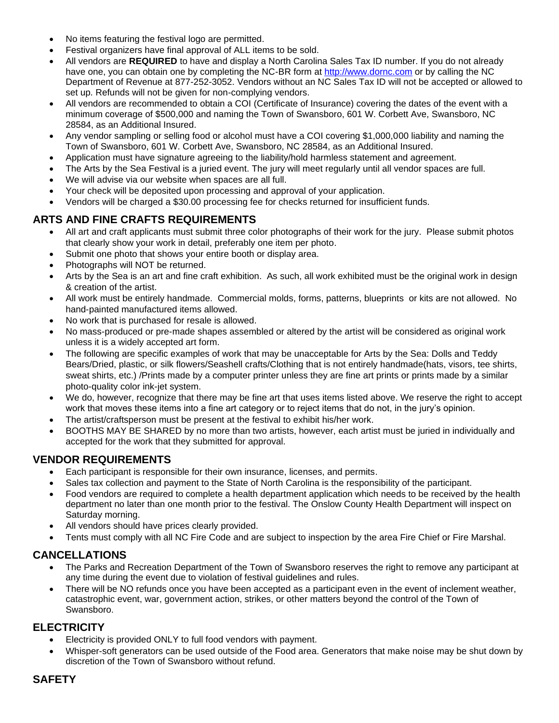- No items featuring the festival logo are permitted.
- Festival organizers have final approval of ALL items to be sold.
- All vendors are **REQUIRED** to have and display a North Carolina Sales Tax ID number. If you do not already have one, you can obtain one by completing the NC-BR form at [http://www.dornc.com](http://www.dornc.com/) or by calling the NC Department of Revenue at 877-252-3052. Vendors without an NC Sales Tax ID will not be accepted or allowed to set up. Refunds will not be given for non-complying vendors.
- All vendors are recommended to obtain a COI (Certificate of Insurance) covering the dates of the event with a minimum coverage of \$500,000 and naming the Town of Swansboro, 601 W. Corbett Ave, Swansboro, NC 28584, as an Additional Insured.
- Any vendor sampling or selling food or alcohol must have a COI covering \$1,000,000 liability and naming the Town of Swansboro, 601 W. Corbett Ave, Swansboro, NC 28584, as an Additional Insured.
- Application must have signature agreeing to the liability/hold harmless statement and agreement.
- The Arts by the Sea Festival is a juried event. The jury will meet regularly until all vendor spaces are full.
- We will advise via our website when spaces are all full.
- Your check will be deposited upon processing and approval of your application.
- Vendors will be charged a \$30.00 processing fee for checks returned for insufficient funds.

## **ARTS AND FINE CRAFTS REQUIREMENTS**

- All art and craft applicants must submit three color photographs of their work for the jury. Please submit photos that clearly show your work in detail, preferably one item per photo.
- Submit one photo that shows your entire booth or display area.
- Photographs will NOT be returned.
- Arts by the Sea is an art and fine craft exhibition. As such, all work exhibited must be the original work in design & creation of the artist.
- All work must be entirely handmade. Commercial molds, forms, patterns, blueprints or kits are not allowed. No hand-painted manufactured items allowed.
- No work that is purchased for resale is allowed.
- No mass-produced or pre-made shapes assembled or altered by the artist will be considered as original work unless it is a widely accepted art form.
- The following are specific examples of work that may be unacceptable for Arts by the Sea: Dolls and Teddy Bears/Dried, plastic, or silk flowers/Seashell crafts/Clothing that is not entirely handmade(hats, visors, tee shirts, sweat shirts, etc.) /Prints made by a computer printer unless they are fine art prints or prints made by a similar photo-quality color ink-jet system.
- We do, however, recognize that there may be fine art that uses items listed above. We reserve the right to accept work that moves these items into a fine art category or to reject items that do not, in the jury's opinion.
- The artist/craftsperson must be present at the festival to exhibit his/her work.
- BOOTHS MAY BE SHARED by no more than two artists, however, each artist must be juried in individually and accepted for the work that they submitted for approval.

#### **VENDOR REQUIREMENTS**

- Each participant is responsible for their own insurance, licenses, and permits.
- Sales tax collection and payment to the State of North Carolina is the responsibility of the participant.
- Food vendors are required to complete a health department application which needs to be received by the health department no later than one month prior to the festival. The Onslow County Health Department will inspect on Saturday morning.
- All vendors should have prices clearly provided.
- Tents must comply with all NC Fire Code and are subject to inspection by the area Fire Chief or Fire Marshal.

## **CANCELLATIONS**

- The Parks and Recreation Department of the Town of Swansboro reserves the right to remove any participant at any time during the event due to violation of festival guidelines and rules.
- There will be NO refunds once you have been accepted as a participant even in the event of inclement weather, catastrophic event, war, government action, strikes, or other matters beyond the control of the Town of Swansboro.

## **ELECTRICITY**

- Electricity is provided ONLY to full food vendors with payment.
- Whisper-soft generators can be used outside of the Food area. Generators that make noise may be shut down by discretion of the Town of Swansboro without refund.

#### **SAFETY**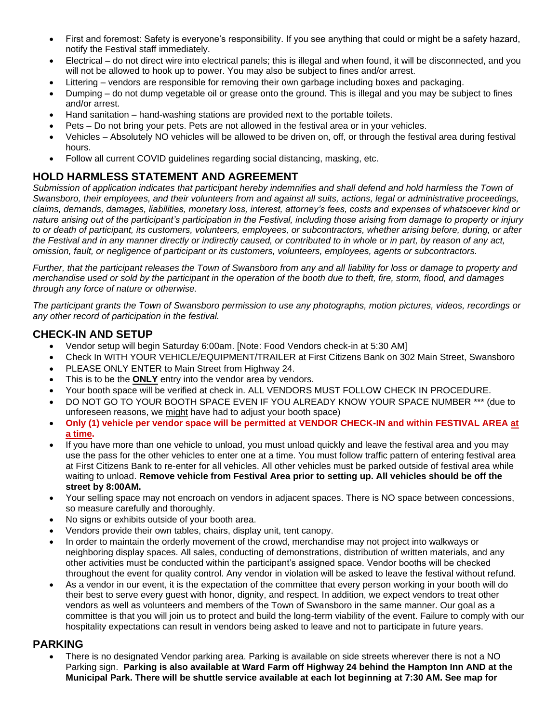- First and foremost: Safety is everyone's responsibility. If you see anything that could or might be a safety hazard, notify the Festival staff immediately.
- Electrical do not direct wire into electrical panels; this is illegal and when found, it will be disconnected, and you will not be allowed to hook up to power. You may also be subject to fines and/or arrest.
- Littering vendors are responsible for removing their own garbage including boxes and packaging.
- Dumping do not dump vegetable oil or grease onto the ground. This is illegal and you may be subject to fines and/or arrest.
- Hand sanitation hand-washing stations are provided next to the portable toilets.
- Pets Do not bring your pets. Pets are not allowed in the festival area or in your vehicles.
- Vehicles Absolutely NO vehicles will be allowed to be driven on, off, or through the festival area during festival hours.
- Follow all current COVID guidelines regarding social distancing, masking, etc.

#### **HOLD HARMLESS STATEMENT AND AGREEMENT**

*Submission of application indicates that participant hereby indemnifies and shall defend and hold harmless the Town of Swansboro, their employees, and their volunteers from and against all suits, actions, legal or administrative proceedings, claims, demands, damages, liabilities, monetary loss, interest, attorney's fees, costs and expenses of whatsoever kind or nature arising out of the participant's participation in the Festival, including those arising from damage to property or injury to or death of participant, its customers, volunteers, employees, or subcontractors, whether arising before, during, or after the Festival and in any manner directly or indirectly caused, or contributed to in whole or in part, by reason of any act, omission, fault, or negligence of participant or its customers, volunteers, employees, agents or subcontractors.*

*Further, that the participant releases the Town of Swansboro from any and all liability for loss or damage to property and merchandise used or sold by the participant in the operation of the booth due to theft, fire, storm, flood, and damages through any force of nature or otherwise.*

*The participant grants the Town of Swansboro permission to use any photographs, motion pictures, videos, recordings or any other record of participation in the festival.*

#### **CHECK-IN AND SETUP**

- Vendor setup will begin Saturday 6:00am. [Note: Food Vendors check-in at 5:30 AM]
- Check In WITH YOUR VEHICLE/EQUIPMENT/TRAILER at First Citizens Bank on 302 Main Street, Swansboro
- PLEASE ONLY ENTER to Main Street from Highway 24.
- This is to be the **ONLY** entry into the vendor area by vendors.
- Your booth space will be verified at check in. ALL VENDORS MUST FOLLOW CHECK IN PROCEDURE.
- DO NOT GO TO YOUR BOOTH SPACE EVEN IF YOU ALREADY KNOW YOUR SPACE NUMBER \*\*\* (due to unforeseen reasons, we might have had to adjust your booth space)
- **Only (1) vehicle per vendor space will be permitted at VENDOR CHECK-IN and within FESTIVAL AREA at a time.**
- If you have more than one vehicle to unload, you must unload quickly and leave the festival area and you may use the pass for the other vehicles to enter one at a time. You must follow traffic pattern of entering festival area at First Citizens Bank to re-enter for all vehicles. All other vehicles must be parked outside of festival area while waiting to unload. **Remove vehicle from Festival Area prior to setting up. All vehicles should be off the street by 8:00AM.**
- Your selling space may not encroach on vendors in adjacent spaces. There is NO space between concessions, so measure carefully and thoroughly.
- No signs or exhibits outside of your booth area.
- Vendors provide their own tables, chairs, display unit, tent canopy.
- In order to maintain the orderly movement of the crowd, merchandise may not project into walkways or neighboring display spaces. All sales, conducting of demonstrations, distribution of written materials, and any other activities must be conducted within the participant's assigned space. Vendor booths will be checked throughout the event for quality control. Any vendor in violation will be asked to leave the festival without refund.
- As a vendor in our event, it is the expectation of the committee that every person working in your booth will do their best to serve every guest with honor, dignity, and respect. In addition, we expect vendors to treat other vendors as well as volunteers and members of the Town of Swansboro in the same manner. Our goal as a committee is that you will join us to protect and build the long-term viability of the event. Failure to comply with our hospitality expectations can result in vendors being asked to leave and not to participate in future years.

#### **PARKING**

• There is no designated Vendor parking area. Parking is available on side streets wherever there is not a NO Parking sign. **Parking is also available at Ward Farm off Highway 24 behind the Hampton Inn AND at the Municipal Park. There will be shuttle service available at each lot beginning at 7:30 AM. See map for**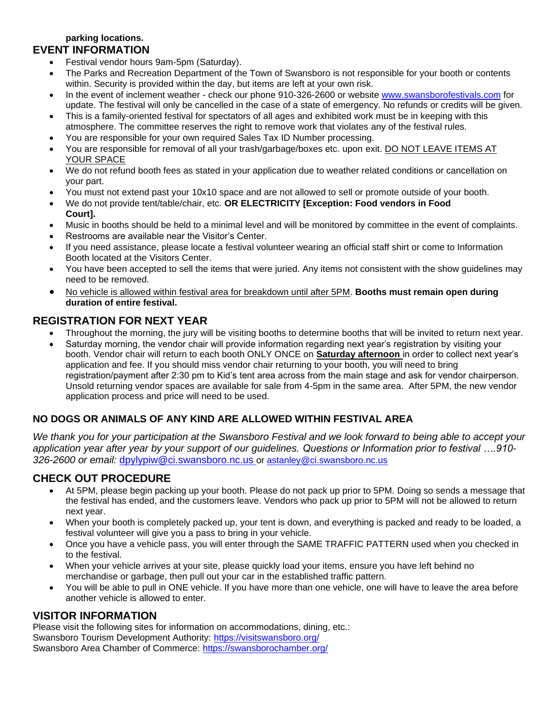#### **parking locations. EVENT INFORMATION**

- Festival vendor hours 9am-5pm (Saturday).
- The Parks and Recreation Department of the Town of Swansboro is not responsible for your booth or contents within. Security is provided within the day, but items are left at your own risk.
- In the event of inclement weather check our phone 910-326-2600 or website [www.swansborofestivals.com](http://www.swansborofestivals.com/) for update. The festival will only be cancelled in the case of a state of emergency. No refunds or credits will be given.
- This is a family-oriented festival for spectators of all ages and exhibited work must be in keeping with this atmosphere. The committee reserves the right to remove work that violates any of the festival rules.
- You are responsible for your own required Sales Tax ID Number processing.
- You are responsible for removal of all your trash/garbage/boxes etc. upon exit. DO NOT LEAVE ITEMS AT YOUR SPACE
- We do not refund booth fees as stated in your application due to weather related conditions or cancellation on your part.
- You must not extend past your 10x10 space and are not allowed to sell or promote outside of your booth.
- We do not provide tent/table/chair, etc. **OR ELECTRICITY [Exception: Food vendors in Food Court].**
- Music in booths should be held to a minimal level and will be monitored by committee in the event of complaints.
- Restrooms are available near the Visitor's Center.
- If you need assistance, please locate a festival volunteer wearing an official staff shirt or come to Information Booth located at the Visitors Center.
- You have been accepted to sell the items that were juried. Any items not consistent with the show guidelines may need to be removed.
- No vehicle is allowed within festival area for breakdown until after 5PM. **Booths must remain open during duration of entire festival.**

#### **REGISTRATION FOR NEXT YEAR**

- Throughout the morning, the jury will be visiting booths to determine booths that will be invited to return next year.
- Saturday morning, the vendor chair will provide information regarding next year's registration by visiting your booth. Vendor chair will return to each booth ONLY ONCE on **Saturday afternoon** in order to collect next year's application and fee. If you should miss vendor chair returning to your booth, you will need to bring registration/payment after 2:30 pm to Kid's tent area across from the main stage and ask for vendor chairperson. Unsold returning vendor spaces are available for sale from 4-5pm in the same area. After 5PM, the new vendor application process and price will need to be used.

## **NO DOGS OR ANIMALS OF ANY KIND ARE ALLOWED WITHIN FESTIVAL AREA**

*We thank you for your participation at the Swansboro Festival and we look forward to being able to accept your application year after year by your support of our guidelines. Questions or Information prior to festival ….910- 326-2600 or email:* [dpylypiw@ci.swansboro.nc.us](mailto:dpylypiw@ci.swansboro.nc.us) or [astanley@ci.swansboro.nc.us](mailto:astanley@ci.swansboro.nc.us)

## **CHECK OUT PROCEDURE**

- At 5PM, please begin packing up your booth. Please do not pack up prior to 5PM. Doing so sends a message that the festival has ended, and the customers leave. Vendors who pack up prior to 5PM will not be allowed to return next year.
- When your booth is completely packed up, your tent is down, and everything is packed and ready to be loaded, a festival volunteer will give you a pass to bring in your vehicle.
- Once you have a vehicle pass, you will enter through the SAME TRAFFIC PATTERN used when you checked in to the festival.
- When your vehicle arrives at your site, please quickly load your items, ensure you have left behind no merchandise or garbage, then pull out your car in the established traffic pattern.
- You will be able to pull in ONE vehicle. If you have more than one vehicle, one will have to leave the area before another vehicle is allowed to enter.

#### **VISITOR INFORMATION**

Please visit the following sites for information on accommodations, dining, etc.: Swansboro Tourism Development Authority:<https://visitswansboro.org/> Swansboro Area Chamber of Commerce:<https://swansborochamber.org/>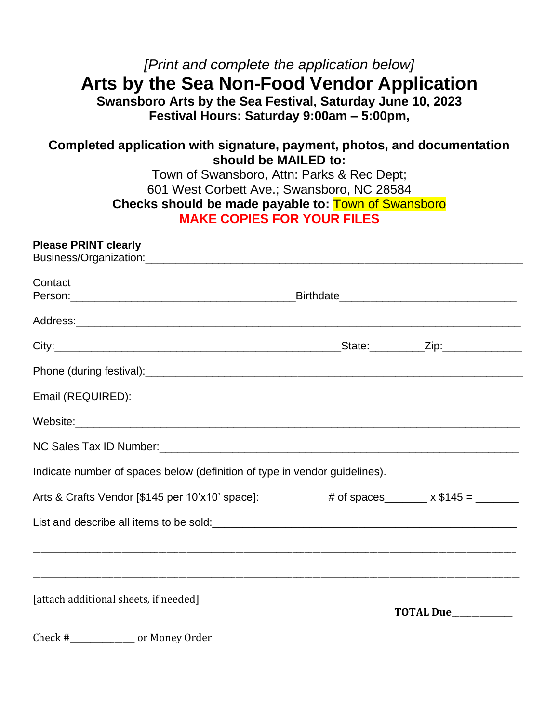# *[Print and complete the application below]* **Arts by the Sea Non-Food Vendor Application**

**Swansboro Arts by the Sea Festival, Saturday June 10, 2023 Festival Hours: Saturday 9:00am – 5:00pm,**

# **Completed application with signature, payment, photos, and documentation should be MAILED to:**

Town of Swansboro, Attn: Parks & Rec Dept; 601 West Corbett Ave.; Swansboro, NC 28584 **Checks should be made payable to:** Town of Swansboro **MAKE COPIES FOR YOUR FILES**

## **Please PRINT clearly**

| Contact                                                                                                                                                                                                                        |                                              |
|--------------------------------------------------------------------------------------------------------------------------------------------------------------------------------------------------------------------------------|----------------------------------------------|
|                                                                                                                                                                                                                                |                                              |
|                                                                                                                                                                                                                                |                                              |
|                                                                                                                                                                                                                                |                                              |
|                                                                                                                                                                                                                                |                                              |
|                                                                                                                                                                                                                                |                                              |
| NC Sales Tax ID Number: 1988 Contract Contract Contract Contract Contract Contract Contract Contract Contract Contract Contract Contract Contract Contract Contract Contract Contract Contract Contract Contract Contract Cont |                                              |
| Indicate number of spaces below (definition of type in vendor guidelines).                                                                                                                                                     |                                              |
| Arts & Crafts Vendor [\$145 per 10'x10' space]:                                                                                                                                                                                | # of spaces________ $\times$ \$145 = _______ |
| List and describe all items to be sold:<br><u>List and describe all items to be sold:</u>                                                                                                                                      |                                              |
|                                                                                                                                                                                                                                |                                              |
|                                                                                                                                                                                                                                |                                              |
| [attach additional sheets, if needed]                                                                                                                                                                                          | TOTAL Due__________                          |
| $Choolt$ $\qquad \qquad \text{or Monov Order}$                                                                                                                                                                                 |                                              |

Check #\_\_\_\_\_\_\_\_\_\_\_\_\_\_\_\_\_\_ or money urder